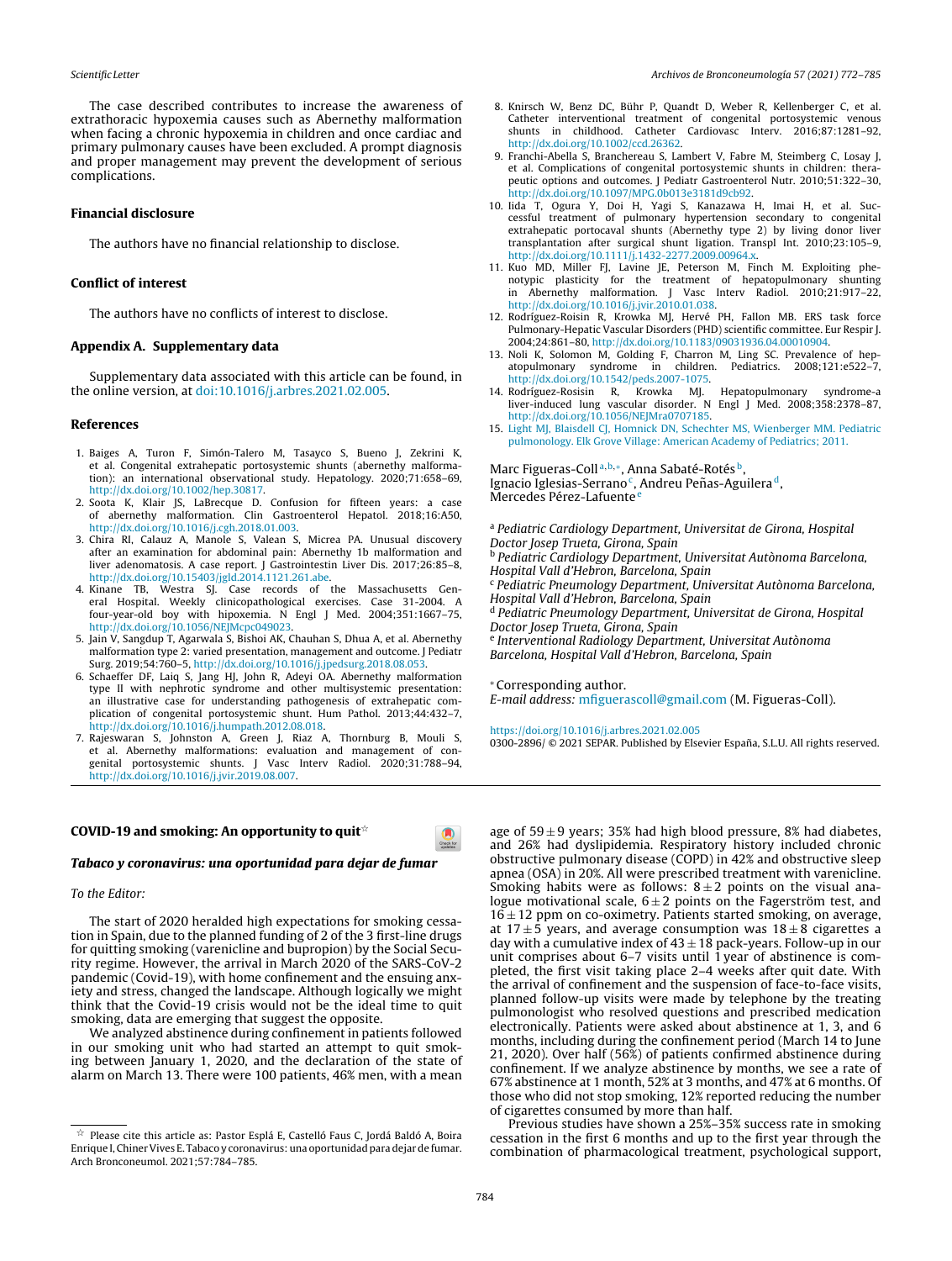The case described contributes to increase the awareness of extrathoracic hypoxemia causes such as Abernethy malformation when facing a chronic hypoxemia in children and once cardiac and primary pulmonary causes have been excluded. A prompt diagnosis and proper management may prevent the development of serious complications.

# **Financial disclosure**

The authors have no financial relationship to disclose.

### **Conflict of interest**

The authors have no conflicts of interest to disclose.

## Appendix A. Supplementary data

Supplementary data associated with this article can be found, in the online version, at doi:10.1016/j.arbres.2021.02.005.

## **References**

- 1. Baiges A, Turon F, Simón-Talero M, Tasayco S, Bueno J, Zekrini K, et al. Congenital extrahepatic portosystemic shunts (abernethy malformation): an international observational study. Hepatology. 2020;71:658-69, http://dx.doi.org/10.1002/hep.30817.
- 2. Soota K, Klair JS, LaBrecque D. Confusion for fifteen years: a case of abernethy malformation. Clin Gastroenterol Hepatol. 2018;16:A50, http://dx.doi.org/10.1016/j.cgh.2018.01.003.
- 3. Chira RI, Calauz A, Manole S, Valean S, Micrea PA. Unusual discovery after an examination for abdominal pain: Abernethy 1b malformation and liver adenomatosis. A case report. J Gastrointestin Liver Dis. 2017;26:85-8, http://dx.doi.org/10.15403/jgld.2014.1121.261.abe.
- 4. Kinane TB, Westra SJ, Case records of the Massachusetts General Hospital. Weekly clinicopathological exercises. Case 31-2004. A four-year-old boy with hipoxemia. N Engl J Med. 2004;351:1667-75, http://dx.doi.org/10.1056/NEJMcpc049023.
- 5. Jain V, Sangdup T, Agarwala S, Bishoi AK, Chauhan S, Dhua A, et al. Abernethy malformation type 2: varied presentation, management and outcome. J Pediatr Surg. 2019;54:760-5, http://dx.doi.org/10.1016/j.jpedsurg.2018.08.053.<br>6. Schaeffer DF, Laiq S, Jang HJ, John R, Adeyi OA. Abernethy malformation
- type II with nephrotic syndrome and other multisystemic presentation:<br>an illustrative case for understanding pathogenesis of extrahepatic complication of congenital portosystemic shunt. Hum Pathol. 2013;44:432-7, http://dx.doi.org/10.1016/j.humpath.2012.08.018.
- 7. Rajeswaran S, Johnston A, Green J, Riaz A, Thornburg B, Mouli S, et al. Abernethy malformations: evaluation and management of congenital portosystemic shunts. J Vasc Interv Radiol. 2020;31:788-94,<br>http://dx.doi.org/10.1016/j.jvir.2019.08.007.

# COVID-19 and smoking: An opportunity to quit  $\phi$

#### Tabaco y coronavirus: una oportunidad para dejar de fumar

#### To the Editor:

The start of 2020 heralded high expectations for smoking cessation in Spain, due to the planned funding of 2 of the 3 first-line drugs for quitting smoking (varenicline and bupropion) by the Social Security regime. However, the arrival in March 2020 of the SARS-CoV-2 pandemic (Covid-19), with home confinement and the ensuing anxiety and stress, changed the landscape. Although logically we might think that the Covid-19 crisis would not be the ideal time to quit smoking, data are emerging that suggest the opposite.

We analyzed abstinence during confinement in patients followed in our smoking unit who had started an attempt to quit smoking between January 1, 2020, and the declaration of the state of alarm on March 13. There were 100 patients, 46% men, with a mean

- 8. Knirsch W, Benz DC, Bühr P, Quandt D, Weber R, Kellenberger C, et al. Catheter interventional treatment of congenital portosystemic venous shunts in childhood. Catheter Cardiovasc Interv. 2016;87:1281-92, http://dx.doi.org/10.1002/ccd.26362.
- 9. Franchi-Abella S, Branchereau S, Lambert V, Fabre M, Steimberg C, Losay J, et al. Complications of congenital portosystemic shunts in children: therapeutic options and outcomes. J Pediatr Gastroenterol Nutr. 2010;51:322-30, http://dx.doi.org/10.1097/MPG.0b013e3181d9cb92.
- 10. lida T, Ogura Y, Doi H, Yagi S, Kanazawa H, Imai H, et al. Successful treatment of pulmonary hypertension secondary to congenital extrahepatic portocaval shunts (Abernethy type 2) by living donor liver transplantation after surgical shunt ligation. Transpl Int. 2010;23:105-9, http://dx.doi.org/10.1111/j.1432-2277.2009.00964.x.
- 11. Kuo MD, Miller FJ, Lavine JE, Peterson M, Finch M. Exploiting phenotypic plasticity for the treatment of hepatopulmonary shunting in Abernethy malformation. J Vasc Interv Radiol. 2010;21:917-22, http://dx.doi.org/10.1016/j.jvir.2010.01.038.
- 12. Rodríguez-Roisin R, Krowka MJ, Hervé PH, Fallon MB. ERS task force Pulmonary-Hepatic Vascular Disorders (PHD) scientific committee. Eur Respir J. 2004;24:861-80, http://dx.doi.org/10.1183/09031936.04.00010904.
- 13. Noli K, Solomon M, Golding F, Charron M, Ling SC. Prevalence of hepatopulmonary syndrome in children. Pediatrics. 2008;121:e522-7, http://dx.doi.org/10.1542/peds.2007-1075.
- 14. Rodríguez-Rosisin R, Krowka MJ. Hepatopulmonary syndrome-a liver-induced lung vascular disorder. N Engl J Med. 2008;358:2378-87, http://dx.doi.org/10.1056/NEJMra0707185.
- 15. Light MJ, Blaisdell CJ, Homnick DN, Schechter MS, Wienberger MM. Pediatric pulmonology. Elk Grove Village: American Academy of Pediatrics; 2011.

Marc Figueras-Coll<sup>a, b,\*</sup>, Anna Sabaté-Rotés<sup>b</sup>, Ignacio Iglesias-Serrano<sup>c</sup>, Andreu Peñas-Aguilera<sup>d</sup>, Mercedes Pérez-Lafuente<sup>e</sup>

<sup>a</sup> Pediatric Cardiology Department, Universitat de Girona, Hospital Doctor Josep Trueta, Girona, Spain <sup>b</sup> Pediatric Cardiology Department. Universitat Autònoma Barcelona. Hospital Vall d'Hebron, Barcelona, Spain <sup>c</sup> Pediatric Pneumology Department, Universitat Autònoma Barcelona, Hospital Vall d'Hebron, Barcelona, Spain <sup>d</sup> Pediatric Pneumology Department, Universitat de Girona, Hospital Doctor Josep Trueta, Girona, Spain <sup>e</sup> Interventional Radiology Department, Universitat Autònoma

Barcelona, Hospital Vall d'Hebron, Barcelona, Spain

\*Corresponding author.

E-mail address: mfiguerascoll@gmail.com (M. Figueras-Coll).

https://doi.org/10.1016/j.arbres.2021.02.005

0300-2896/ © 2021 SEPAR. Published by Elsevier España, S.L.U. All rights reserved.

age of  $59 \pm 9$  years; 35% had high blood pressure, 8% had diabetes, and 26% had dyslipidemia. Respiratory history included chronic obstructive pulmonary disease (COPD) in 42% and obstructive sleep apnea (OSA) in 20%. All were prescribed treatment with varenicline. Smoking habits were as follows:  $8 \pm 2$  points on the visual analogue motivational scale,  $6 \pm 2$  points on the Fagerström test, and  $16 \pm 12$  ppm on co-oximetry. Patients started smoking, on average, at  $17 \pm 5$  years, and average consumption was  $18 \pm 8$  cigarettes a day with a cumulative index of  $43 \pm 18$  pack-years. Follow-up in our unit comprises about 6-7 visits until  $\hat{1}$  year of abstinence is completed, the first visit taking place 2-4 weeks after quit date. With the arrival of confinement and the suspension of face-to-face visits, planned follow-up visits were made by telephone by the treating pulmonologist who resolved questions and prescribed medication electronically. Patients were asked about abstinence at 1, 3, and 6 months, including during the confinement period (March 14 to June 21, 2020). Over half (56%) of patients confirmed abstinence during confinement. If we analyze abstinence by months, we see a rate of 67% abstinence at 1 month, 52% at 3 months, and 47% at 6 months. Of those who did not stop smoking, 12% reported reducing the number of cigarettes consumed by more than half.

Previous studies have shown a 25%-35% success rate in smoking cessation in the first 6 months and up to the first year through the combination of pharmacological treatment, psychological support,

 $\bullet$ 

 $\overrightarrow{x}$  Please cite this article as: Pastor Esplá E, Castelló Faus C, Jordá Baldó A, Boira Enrique I, Chiner Vives E. Tabaco y coronavirus: una oportunidad para dejar de fumar. Arch Bronconeumol. 2021;57:784-785.